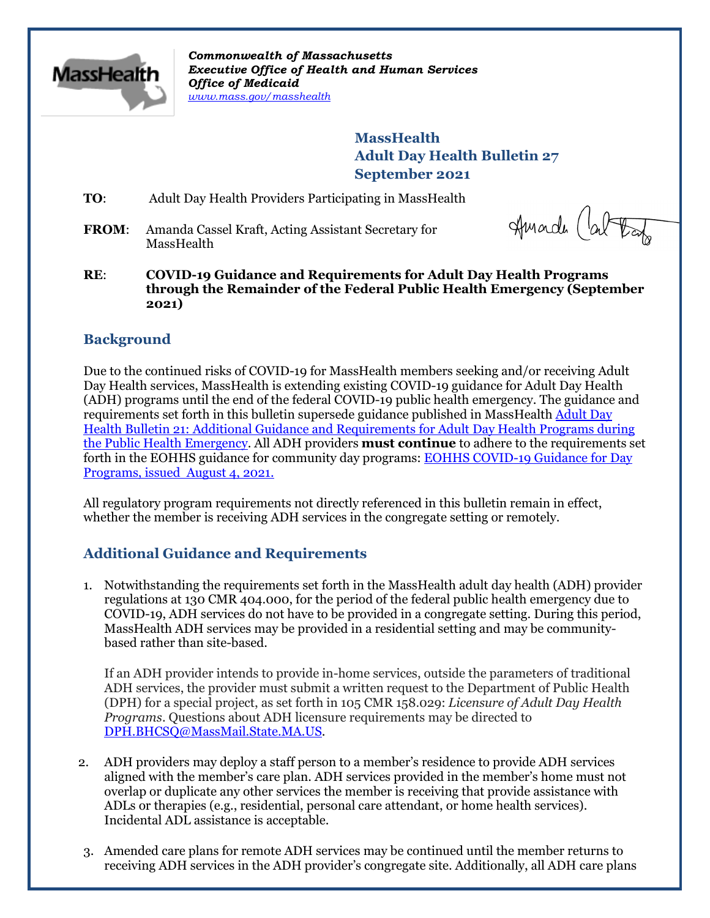

*Commonwealth of Massachusetts Executive Office of Health and Human Services Office of Medicaid [www.mass.gov/masshealth](http://www.mass.gov/masshealth)*

> **MassHealth Adult Day Health Bulletin 27 September 2021**

**TO**: Adult Day Health Providers Participating in MassHealth

**FROM**: Amanda Cassel Kraft, Acting Assistant Secretary for MassHealth

Amade (about

**RE**: **COVID-19 Guidance and Requirements for Adult Day Health Programs through the Remainder of the Federal Public Health Emergency (September 2021)**

# **Background**

Due to the continued risks of COVID-19 for MassHealth members seeking and/or receiving Adult Day Health services, MassHealth is extending existing COVID-19 guidance for Adult Day Health (ADH) programs until the end of the federal COVID-19 public health emergency. The guidance and requirements set forth in this bulletin supersede guidance published in MassHealth Adult Day [Health Bulletin 21: Additional Guidance and Requirements for Adult Day Health Programs during](mailto:https://www.mass.gov/lists/masshealth-provider-bulletins-by-provider-type-a-c%23adult-day-health-provider-bulletins-)  [the Public Health Emergency.](mailto:https://www.mass.gov/lists/masshealth-provider-bulletins-by-provider-type-a-c%23adult-day-health-provider-bulletins-) All ADH providers **must continue** to adhere to the requirements set forth in the EOHHS guidance for community day programs[: EOHHS COVID-19 Guidance for Day](https://www.mass.gov/info-details/covid-19-public-health-guidance-and-directives)  [Programs, issued August 4, 2021.](https://www.mass.gov/info-details/covid-19-public-health-guidance-and-directives)

All regulatory program requirements not directly referenced in this bulletin remain in effect, whether the member is receiving ADH services in the congregate setting or remotely.

# **Additional Guidance and Requirements**

1. Notwithstanding the requirements set forth in the MassHealth adult day health (ADH) provider regulations at 130 CMR 404.000, for the period of the federal public health emergency due to COVID-19, ADH services do not have to be provided in a congregate setting. During this period, MassHealth ADH services may be provided in a residential setting and may be communitybased rather than site-based.

If an ADH provider intends to provide in-home services, outside the parameters of traditional ADH services, the provider must submit a written request to the Department of Public Health (DPH) for a special project, as set forth in 105 CMR 158.029: *Licensure of Adult Day Health Programs*. Questions about ADH licensure requirements may be directed to [DPH.BHCSQ@MassMail.State.MA.US.](mailto:DPH.BHCSQ@MassMail.State.MA.US)

- 2. ADH providers may deploy a staff person to a member's residence to provide ADH services aligned with the member's care plan. ADH services provided in the member's home must not overlap or duplicate any other services the member is receiving that provide assistance with ADLs or therapies (e.g., residential, personal care attendant, or home health services). Incidental ADL assistance is acceptable.
- 3. Amended care plans for remote ADH services may be continued until the member returns to receiving ADH services in the ADH provider's congregate site. Additionally, all ADH care plans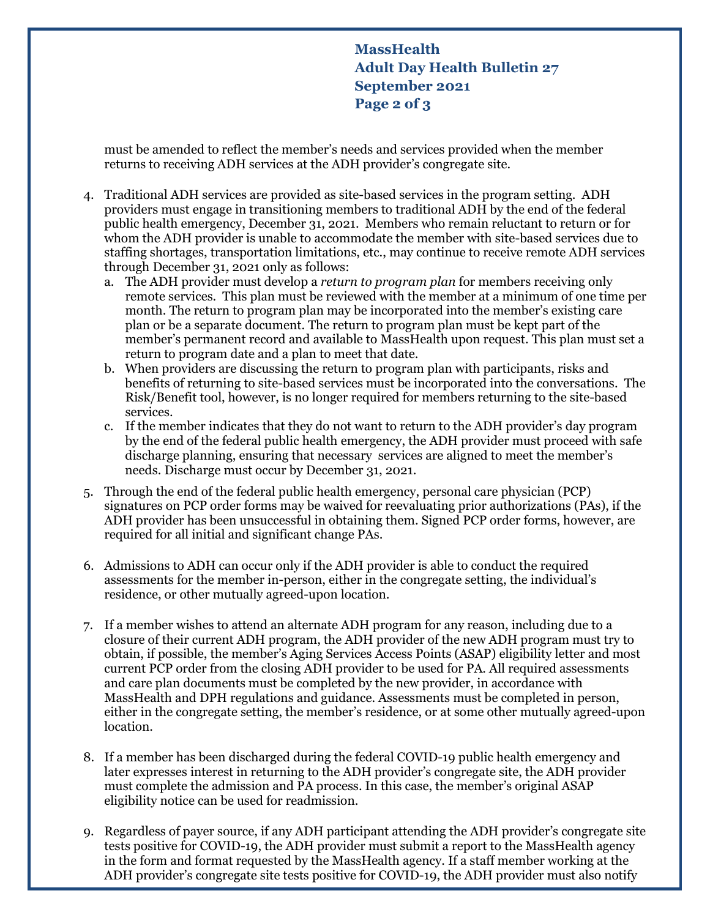**MassHealth Adult Day Health Bulletin 27 September 2021 Page 2 of 3**

must be amended to reflect the member's needs and services provided when the member returns to receiving ADH services at the ADH provider's congregate site.

- 4. Traditional ADH services are provided as site-based services in the program setting. ADH providers must engage in transitioning members to traditional ADH by the end of the federal public health emergency, December 31, 2021. Members who remain reluctant to return or for whom the ADH provider is unable to accommodate the member with site-based services due to staffing shortages, transportation limitations, etc., may continue to receive remote ADH services through December 31, 2021 only as follows:
	- a. The ADH provider must develop a *return to program plan* for members receiving only remote services. This plan must be reviewed with the member at a minimum of one time per month. The return to program plan may be incorporated into the member's existing care plan or be a separate document. The return to program plan must be kept part of the member's permanent record and available to MassHealth upon request. This plan must set a return to program date and a plan to meet that date.
	- b. When providers are discussing the return to program plan with participants, risks and benefits of returning to site-based services must be incorporated into the conversations. The Risk/Benefit tool, however, is no longer required for members returning to the site-based services.
	- c. If the member indicates that they do not want to return to the ADH provider's day program by the end of the federal public health emergency, the ADH provider must proceed with safe discharge planning, ensuring that necessary services are aligned to meet the member's needs. Discharge must occur by December 31, 2021.
- 5. Through the end of the federal public health emergency, personal care physician (PCP) signatures on PCP order forms may be waived for reevaluating prior authorizations (PAs), if the ADH provider has been unsuccessful in obtaining them. Signed PCP order forms, however, are required for all initial and significant change PAs.
- 6. Admissions to ADH can occur only if the ADH provider is able to conduct the required assessments for the member in-person, either in the congregate setting, the individual's residence, or other mutually agreed-upon location.
- 7. If a member wishes to attend an alternate ADH program for any reason, including due to a closure of their current ADH program, the ADH provider of the new ADH program must try to obtain, if possible, the member's Aging Services Access Points (ASAP) eligibility letter and most current PCP order from the closing ADH provider to be used for PA. All required assessments and care plan documents must be completed by the new provider, in accordance with MassHealth and DPH regulations and guidance. Assessments must be completed in person, either in the congregate setting, the member's residence, or at some other mutually agreed-upon location.
- 8. If a member has been discharged during the federal COVID-19 public health emergency and later expresses interest in returning to the ADH provider's congregate site, the ADH provider must complete the admission and PA process. In this case, the member's original ASAP eligibility notice can be used for readmission.
- 9. Regardless of payer source, if any ADH participant attending the ADH provider's congregate site tests positive for COVID-19, the ADH provider must submit a report to the MassHealth agency in the form and format requested by the MassHealth agency. If a staff member working at the ADH provider's congregate site tests positive for COVID-19, the ADH provider must also notify